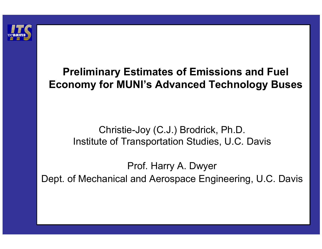

### **Preliminary Estimates of Emissions and Fuel Economy for MUNI's Advanced Technology Buses**

#### Christie-Joy (C.J.) Brodrick, Ph.D. Institute of Transportation Studies, U.C. Davis

Prof. Harry A. Dwyer Dept. of Mechanical and Aerospace Engineering, U.C. Davis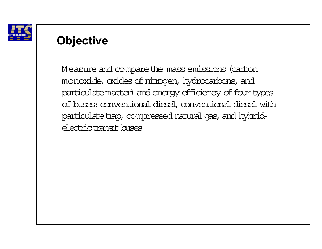

### **Objective**

Measure and compare the mass emissions (carbon monoxide, oxides of nitrogen, hydrocarbons, and particulate matter) and energy efficiency of four types of buses: conventional diesel, conventional diesel with particulate trap, compressed natural gas, and hybridelectric transit buses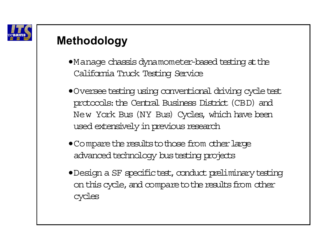

# **Methodology**

- •Manage chassis dynamometer-based testing at the California Truck Testing Service
- •Oversee testing using conventional driving cycle test protocols: the Central Business District (CBD) and New York Bus (NY Bus) Cycles, which have been used extensively in previous research
- Compare the results to those from other large advanced technology bustesting projects
- •Design a SF specifictest, conduct preliminary testing on this cycle, and compare to the results from other cycles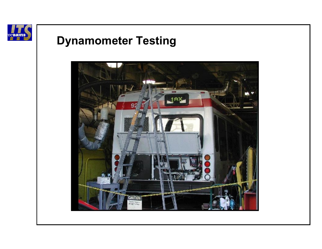

# **Dynamometer Testing**

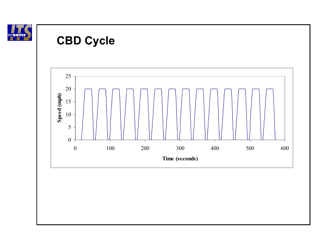



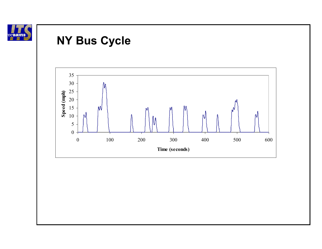

### **NY Bus Cycle**

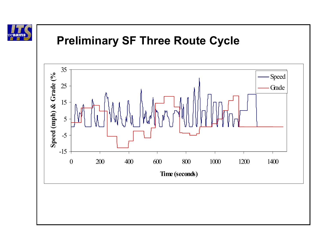

# **Preliminary SF Three Route Cycle**

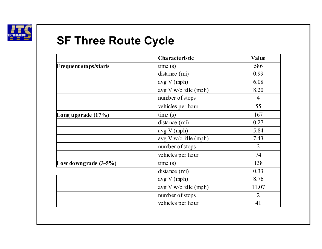

# **SF Three Route Cycle**

|                              | <b>Characteristic</b>        | <b>Value</b>   |
|------------------------------|------------------------------|----------------|
| <b>Frequent stops/starts</b> | time(s)                      | 586            |
|                              | distance (mi)                | 0.99           |
|                              | avg V (mph)                  | 6.08           |
|                              | avg V w/o idle (mph)         | 8.20           |
|                              | number of stops              | $\overline{4}$ |
|                              | vehicles per hour            | 55             |
| Long upgrade (17%)           | time(s)                      | 167            |
|                              | distance (mi)                | 0.27           |
|                              | avg V (mph)                  | 5.84           |
|                              | $\alpha$ vg V w/o idle (mph) | 7.43           |
|                              | number of stops              | $\overline{2}$ |
|                              | vehicles per hour            | 74             |
| Low downgrade $(3-5\%)$      | time(s)                      | 138            |
|                              | distance (mi)                | 0.33           |
|                              | avg V (mph)                  | 8.76           |
|                              | avg V w/o idle (mph)         | 11.07          |
|                              | number of stops              | $\overline{2}$ |
|                              | vehicles per hour            | 41             |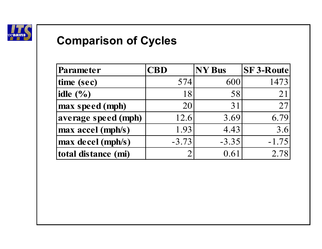

# **Comparison of Cycles**

| Parameter           | <b>CBD</b> | <b>NY Bus</b> | <b>SF3-Route</b> |
|---------------------|------------|---------------|------------------|
| time (sec)          | 574        | 600           | 1473             |
| idle $(\% )$        | 18         | 58            | 21               |
| max speed (mph)     | 20         | 31            | 27               |
| average speed (mph) | 12.6       | 3.69          | 6.79             |
| max accel (mph/s)   | 1.93       | 4.43          | 3.6              |
| max decel (mph/s)   | $-3.73$    | $-3.35$       | $-1.75$          |
| total distance (mi) |            | 0.61          | 2.78             |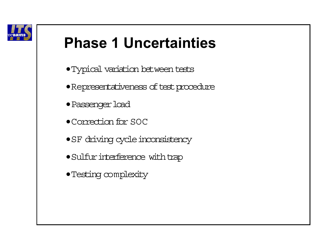

# **Phase 1 Uncertainties**

- •Typical variation between tests
- Representativeness of test procedure
- Passenger load
- •Correction for SOC
- SF driving cycle inconsistency
- $\bullet$  Sulfur interference with trap
- •Testing complexity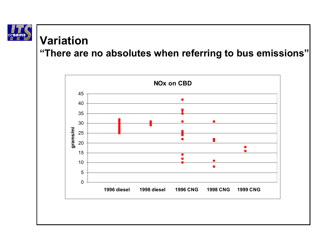

#### **Variation**

#### **"There are no absolutes when referring to bus emissions"**

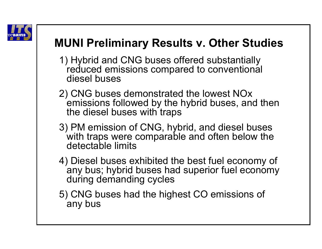

# **MUNI Preliminary Results v. Other Studies**

- 1) Hybrid and CNG buses offered substantially reduced emissions compared to conventional diesel buses
- 2) CNG buses demonstrated the lowest NOx emissions followed by the hybrid buses, and then the diesel buses with traps
- 3) PM emission of CNG, hybrid, and diesel buses with traps were comparable and often below the detectable limits
- 4) Diesel buses exhibited the best fuel economy of any bus; hybrid buses had superior fuel economy during demanding cycles
- 5) CNG buses had the highest CO emissions of any bus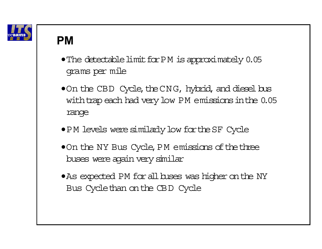

#### **PM**

- $\bullet$  The detectable limit for PM is approximately 0.05 grams per mile
- $\bullet$  On the CBD Cycle, the CNG, hybrid, and diesel bus with trap each had very low PM emissions in the 0.05 range
- •P M levels were similarly low fortheSF Cycle
- $\bullet$  On the NY Bus Cycle, PM emissions of the three buses were again very similar
- •As expected PM for all buses was higher on the NY Bus Cyclethan on the CBD Cycle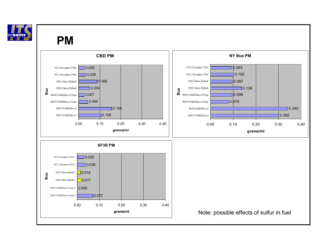

#### **PM**

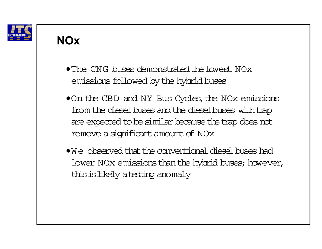

### **NOx**

- The CNG buses demonstrated the lowest NOx emissions followed by the hybrid buses
- On the CBD and NY Bus Cycles, the NOx emissions from the diesel buses and the diesel buses with trap are expected to be similar because the trap does not remove a significant amount of NOx
- $\bullet$  We observed that the conventional diesel buses had lower NOx emissions than the hybrid buses; however, thisislikely atesting anomaly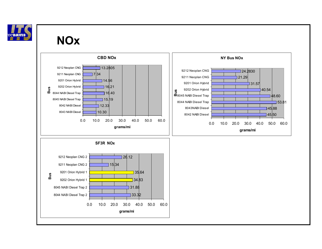

#### **NOx**

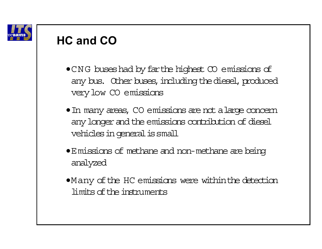

# **HC and CO**

- •CNG buseshad by farthe highest CO emissions of any bus. Other buses, including the diesel, produced very low CO emissions
- In many areas, CO emissions are not a large concern any longer and the emissions contribution of diesel vehicles in general is small
- •Emissions of methane and non-methane are being analyzed
- •Many of the HC emissions were within the detection limits of the instruments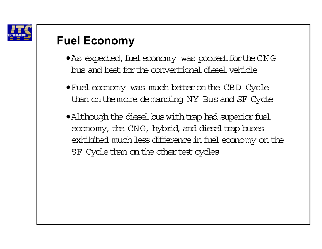

### **Fuel Economy**

- As expected, fuel economy was poorest for the CNG bus and best for the conventional diesel vehicle
- •Fuel economy was much better on the CBD Cycle than on themore demanding NY Bus and SF Cycle
- $\bullet$  Although the diesel bus with trap had superior fuel economy, the CNG, hybrid, and dieseltrap buses exhibited much less difference infuel economy on the SF Cycle than on the other test cycles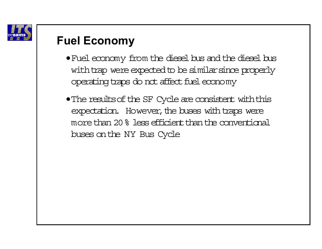

# **Fuel Economy**

- •Fuel economy from the diesel bus and the diesel bus with trap were expected to be similar since properly operating traps do not affect fuel economy
- The results of the SF Cycle are consistent with this expectation. However, the buses with traps were more than 20% less efficient than the conventional buses on the NY Bus Cycle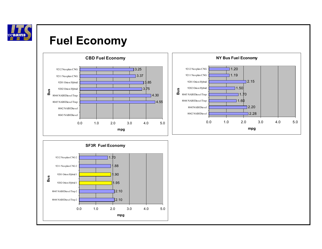

### **Fuel Economy**

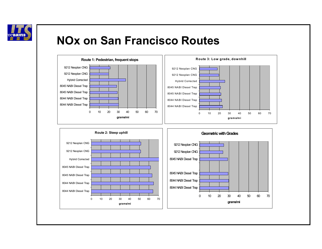

### **NOx on San Francisco Routes**

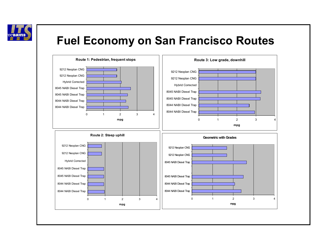

# **Fuel Economy on San Francisco Routes**

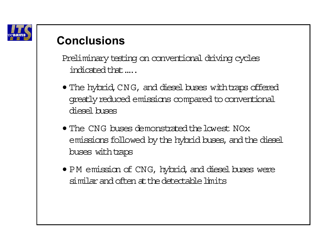

Preliminary testing on conventional driving cycles indicated that…..

- $\bullet$  The hybrid, CNG, and diesel buses with traps offered greatlyreduced emissions compared to conventional diesel buses
- $\bullet$  The CNG buses demonstrated the lowest NOx  $\,$ emissionsfollowed by the hybrid buses, and the diesel buses with traps
- <sup>P</sup> M emission of CNG, hybrid, and diesel buses were similar and often atthedetectablelimits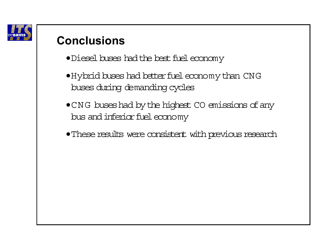

- Diesel buses had the best fuel economy
- •Hybrid buses had betterfuel economy than CNG buses during demanding cycles
- CNG buses had by the highest CO emissions of any bus and inferior fuel economy
- These results were consistent with previous research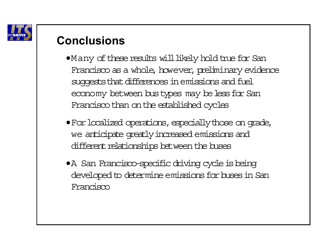

- $\bullet$ Many of these results will likely hold true for San Francisco as a whole, however, preliminary evidence suggests that differences in emissions and fuel economy between bustypes may be less for San Francisco than on the established cycles
- •Forlocalized operations, especiallythose on grade, we anticipate greatly increased emissions and different relationships between the buses
- •A San Francisco-specific driving cycle is being developed to determine emissions for buses in San Francisco